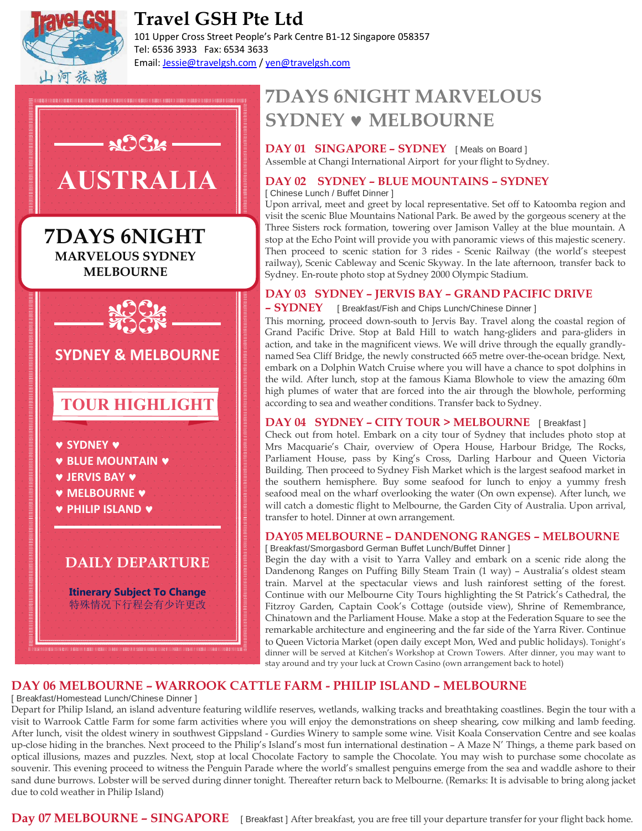

# **Travel GSH Pte Ltd**

101 Upper Cross Street People's Park Centre B1-12 Singapore 058357 Tel: 6536 3933 Fax: 6534 3633 Email: Jessie@travelgsh.com / yen@travelgsh.com



# **7DAYS 6NIGHT MARVELOUS SYDNEY** © **MELBOURNE**

**DAY 01 SINGAPORE – SYDNEY** [ Meals on Board ] Assemble at Changi International Airport for your flight to Sydney.

#### **DAY 02 SYDNEY – BLUE MOUNTAINS – SYDNEY**

[ Chinese Lunch / Buffet Dinner ]

Upon arrival, meet and greet by local representative. Set off to Katoomba region and visit the scenic Blue Mountains National Park. Be awed by the gorgeous scenery at the Three Sisters rock formation, towering over Jamison Valley at the blue mountain. A stop at the Echo Point will provide you with panoramic views of this majestic scenery. Then proceed to scenic station for 3 rides - Scenic Railway (the world's steepest railway), Scenic Cableway and Scenic Skyway. In the late afternoon, transfer back to Sydney. En-route photo stop at Sydney 2000 Olympic Stadium.

# **DAY 03 SYDNEY – JERVIS BAY – GRAND PACIFIC DRIVE**

**– SYDNEY** [ Breakfast/Fish and Chips Lunch/Chinese Dinner ]

This morning, proceed down-south to Jervis Bay. Travel along the coastal region of Grand Pacific Drive. Stop at Bald Hill to watch hang-gliders and para-gliders in action, and take in the magnificent views. We will drive through the equally grandlynamed Sea Cliff Bridge, the newly constructed 665 metre over-the-ocean bridge. Next, embark on a Dolphin Watch Cruise where you will have a chance to spot dolphins in the wild. After lunch, stop at the famous Kiama Blowhole to view the amazing 60m high plumes of water that are forced into the air through the blowhole, performing according to sea and weather conditions. Transfer back to Sydney.

#### **DAY 04 SYDNEY – CITY TOUR > MELBOURNE** [ Breakfast ]

Check out from hotel. Embark on a city tour of Sydney that includes photo stop at Mrs Macquarie's Chair, overview of Opera House, Harbour Bridge, The Rocks, Parliament House, pass by King's Cross, Darling Harbour and Queen Victoria Building. Then proceed to Sydney Fish Market which is the largest seafood market in the southern hemisphere. Buy some seafood for lunch to enjoy a yummy fresh seafood meal on the wharf overlooking the water (On own expense). After lunch, we will catch a domestic flight to Melbourne, the Garden City of Australia. Upon arrival, transfer to hotel. Dinner at own arrangement.

## **DAY05 MELBOURNE – DANDENONG RANGES – MELBOURNE**

[ Breakfast/Smorgasbord German Buffet Lunch/Buffet Dinner ]

Begin the day with a visit to Yarra Valley and embark on a scenic ride along the Dandenong Ranges on Puffing Billy Steam Train (1 way) – Australia's oldest steam train. Marvel at the spectacular views and lush rainforest setting of the forest. Continue with our Melbourne City Tours highlighting the St Patrick's Cathedral, the Fitzroy Garden, Captain Cook's Cottage (outside view), Shrine of Remembrance, Chinatown and the Parliament House. Make a stop at the Federation Square to see the remarkable architecture and engineering and the far side of the Yarra River. Continue to Queen Victoria Market (open daily except Mon, Wed and public holidays). Tonight's dinner will be served at Kitchen's Workshop at Crown Towers. After dinner, you may want to stay around and try your luck at Crown Casino (own arrangement back to hotel)

#### **DAY 06 MELBOURNE – WARROOK CATTLE FARM - PHILIP ISLAND – MELBOURNE**

[ Breakfast/Homestead Lunch/Chinese Dinner ]

Depart for Philip Island, an island adventure featuring wildlife reserves, wetlands, walking tracks and breathtaking coastlines. Begin the tour with a visit to Warrook Cattle Farm for some farm activities where you will enjoy the demonstrations on sheep shearing, cow milking and lamb feeding. After lunch, visit the oldest winery in southwest Gippsland - Gurdies Winery to sample some wine. Visit Koala Conservation Centre and see koalas up-close hiding in the branches. Next proceed to the Philip's Island's most fun international destination – A Maze N' Things, a theme park based on optical illusions, mazes and puzzles. Next, stop at local Chocolate Factory to sample the Chocolate. You may wish to purchase some chocolate as souvenir. This evening proceed to witness the Penguin Parade where the world's smallest penguins emerge from the sea and waddle ashore to their sand dune burrows. Lobster will be served during dinner tonight. Thereafter return back to Melbourne. (Remarks: It is advisable to bring along jacket due to cold weather in Philip Island)

**Day 07 MELBOURNE – SINGAPORE** [ Breakfast ] After breakfast, you are free till your departure transfer for your flight back home.